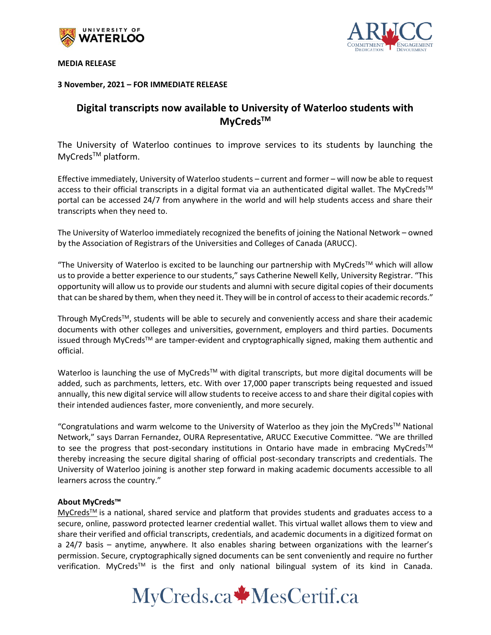

**MEDIA RELEASE**



**3 November, 2021 – FOR IMMEDIATE RELEASE**

# **Digital transcripts now available to University of Waterloo students with MyCredsTM**

The University of Waterloo continues to improve services to its students by launching the MyCreds<sup>™</sup> platform.

Effective immediately, University of Waterloo students – current and former – will now be able to request access to their official transcripts in a digital format via an authenticated digital wallet. The MyCreds™ portal can be accessed 24/7 from anywhere in the world and will help students access and share their transcripts when they need to.

The University of Waterloo immediately recognized the benefits of joining the National Network – owned by the Association of Registrars of the Universities and Colleges of Canada (ARUCC).

"The University of Waterloo is excited to be launching our partnership with MyCreds™ which will allow us to provide a better experience to our students," says Catherine Newell Kelly, University Registrar. "This opportunity will allow us to provide our students and alumni with secure digital copies of their documents that can be shared by them, when they need it. They will be in control of access to their academic records."

Through MyCreds<sup>™</sup>, students will be able to securely and conveniently access and share their academic documents with other colleges and universities, government, employers and third parties. Documents issued through MyCreds™ are tamper-evident and cryptographically signed, making them authentic and official.

Waterloo is launching the use of MyCreds™ with digital transcripts, but more digital documents will be added, such as parchments, letters, etc. With over 17,000 paper transcripts being requested and issued annually, this new digital service will allow students to receive access to and share their digital copies with their intended audiences faster, more conveniently, and more securely.

"Congratulations and warm welcome to the University of Waterloo as they join the MyCreds TM National Network," says Darran Fernandez, OURA Representative, ARUCC Executive Committee. "We are thrilled to see the progress that post-secondary institutions in Ontario have made in embracing MyCreds™ thereby increasing the secure digital sharing of official post-secondary transcripts and credentials. The University of Waterloo joining is another step forward in making academic documents accessible to all learners across the country."

## **About MyCreds™**

[MyCreds](https://mycreds.ca/)<sup>™</sup> is a national, shared service and platform that provides students and graduates access to a secure, online, password protected learner credential wallet. This virtual wallet allows them to view and share their verified and official transcripts, credentials, and academic documents in a digitized format on a 24/7 basis – anytime, anywhere. It also enables sharing between organizations with the learner's permission. Secure, cryptographically signed documents can be sent conveniently and require no further verification. MyCreds<sup>™</sup> is the first and only national bilingual system of its kind in Canada.